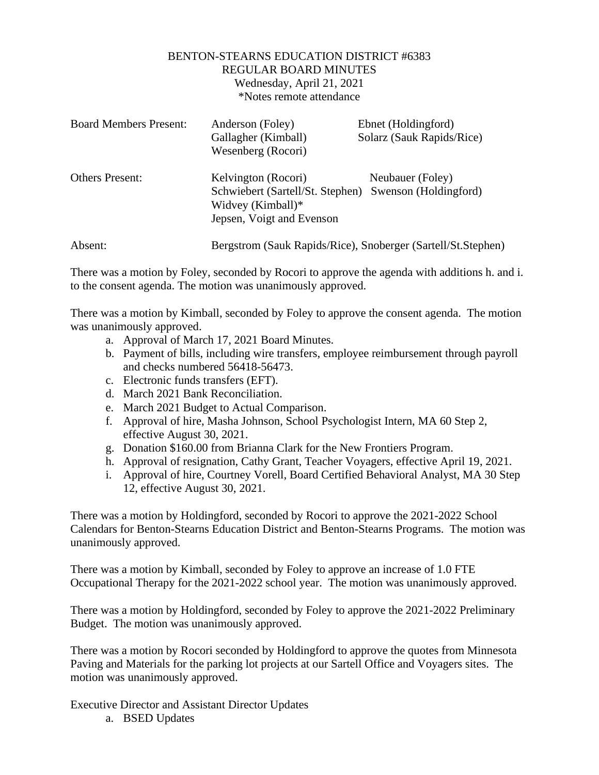## BENTON-STEARNS EDUCATION DISTRICT #6383 REGULAR BOARD MINUTES Wednesday, April 21, 2021 \*Notes remote attendance

| <b>Board Members Present:</b> | Anderson (Foley)<br>Gallagher (Kimball)<br>Wesenberg (Rocori)                                                                   | Ebnet (Holdingford)<br>Solarz (Sauk Rapids/Rice) |
|-------------------------------|---------------------------------------------------------------------------------------------------------------------------------|--------------------------------------------------|
| <b>Others Present:</b>        | Kelvington (Rocori)<br>Schwiebert (Sartell/St. Stephen) Swenson (Holdingford)<br>Widvey (Kimball)*<br>Jepsen, Voigt and Evenson | Neubauer (Foley)                                 |
| Absent:                       | Bergstrom (Sauk Rapids/Rice), Snoberger (Sartell/St.Stephen)                                                                    |                                                  |

There was a motion by Foley, seconded by Rocori to approve the agenda with additions h. and i. to the consent agenda. The motion was unanimously approved.

There was a motion by Kimball, seconded by Foley to approve the consent agenda. The motion was unanimously approved.

- a. Approval of March 17, 2021 Board Minutes.
- b. Payment of bills, including wire transfers, employee reimbursement through payroll and checks numbered 56418-56473.
- c. Electronic funds transfers (EFT).
- d. March 2021 Bank Reconciliation.
- e. March 2021 Budget to Actual Comparison.
- f. Approval of hire, Masha Johnson, School Psychologist Intern, MA 60 Step 2, effective August 30, 2021.
- g. Donation \$160.00 from Brianna Clark for the New Frontiers Program.
- h. Approval of resignation, Cathy Grant, Teacher Voyagers, effective April 19, 2021.
- i. Approval of hire, Courtney Vorell, Board Certified Behavioral Analyst, MA 30 Step 12, effective August 30, 2021.

There was a motion by Holdingford, seconded by Rocori to approve the 2021-2022 School Calendars for Benton-Stearns Education District and Benton-Stearns Programs. The motion was unanimously approved.

There was a motion by Kimball, seconded by Foley to approve an increase of 1.0 FTE Occupational Therapy for the 2021-2022 school year. The motion was unanimously approved.

There was a motion by Holdingford, seconded by Foley to approve the 2021-2022 Preliminary Budget. The motion was unanimously approved.

There was a motion by Rocori seconded by Holdingford to approve the quotes from Minnesota Paving and Materials for the parking lot projects at our Sartell Office and Voyagers sites. The motion was unanimously approved.

Executive Director and Assistant Director Updates

a. BSED Updates